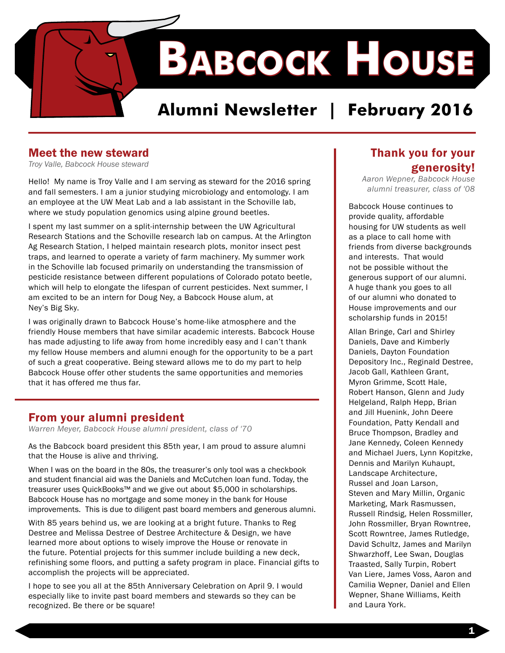

### **Alumni Newsletter | February 2016**

#### Meet the new steward

*Troy Valle, Babcock House steward* 

Hello! My name is Troy Valle and I am serving as steward for the 2016 spring and fall semesters. I am a junior studying microbiology and entomology. I am an employee at the UW Meat Lab and a lab assistant in the Schoville lab, where we study population genomics using alpine ground beetles.

I spent my last summer on a split-internship between the UW Agricultural Research Stations and the Schoville research lab on campus. At the Arlington Ag Research Station, I helped maintain research plots, monitor insect pest traps, and learned to operate a variety of farm machinery. My summer work in the Schoville lab focused primarily on understanding the transmission of pesticide resistance between different populations of Colorado potato beetle, which will help to elongate the lifespan of current pesticides. Next summer, I am excited to be an intern for Doug Ney, a Babcock House alum, at Ney's Big Sky.

I was originally drawn to Babcock House's home-like atmosphere and the friendly House members that have similar academic interests. Babcock House has made adjusting to life away from home incredibly easy and I can't thank my fellow House members and alumni enough for the opportunity to be a part of such a great cooperative. Being steward allows me to do my part to help Babcock House offer other students the same opportunities and memories that it has offered me thus far.

#### From your alumni president

*Warren Meyer, Babcock House alumni president, class of '70* 

As the Babcock board president this 85th year, I am proud to assure alumni that the House is alive and thriving.

When I was on the board in the 80s, the treasurer's only tool was a checkbook and student financial aid was the Daniels and McCutchen loan fund. Today, the treasurer uses QuickBooks™ and we give out about \$5,000 in scholarships. Babcock House has no mortgage and some money in the bank for House improvements. This is due to diligent past board members and generous alumni.

With 85 years behind us, we are looking at a bright future. Thanks to Reg Destree and Melissa Destree of Destree Architecture & Design, we have learned more about options to wisely improve the House or renovate in the future. Potential projects for this summer include building a new deck, refinishing some floors, and putting a safety program in place. Financial gifts to accomplish the projects will be appreciated.

I hope to see you all at the 85th Anniversary Celebration on April 9. I would especially like to invite past board members and stewards so they can be recognized. Be there or be square!

#### Thank you for your generosity!

*Aaron Wepner, Babcock House alumni treasurer, class of '08* 

Babcock House continues to provide quality, affordable housing for UW students as well as a place to call home with friends from diverse backgrounds and interests. That would not be possible without the generous support of our alumni. A huge thank you goes to all of our alumni who donated to House improvements and our scholarship funds in 2015!

Allan Bringe, Carl and Shirley Daniels, Dave and Kimberly Daniels, Dayton Foundation Depository Inc., Reginald Destree, Jacob Gall, Kathleen Grant, Myron Grimme, Scott Hale, Robert Hanson, Glenn and Judy Helgeland, Ralph Hepp, Brian and Jill Huenink, John Deere Foundation, Patty Kendall and Bruce Thompson, Bradley and Jane Kennedy, Coleen Kennedy and Michael Juers, Lynn Kopitzke, Dennis and Marilyn Kuhaupt, Landscape Architecture, Russel and Joan Larson, Steven and Mary Millin, Organic Marketing, Mark Rasmussen, Russell Rindsig, Helen Rossmiller, John Rossmiller, Bryan Rowntree, Scott Rowntree, James Rutledge, David Schultz, James and Marilyn Shwarzhoff, Lee Swan, Douglas Traasted, Sally Turpin, Robert Van Liere, James Voss, Aaron and Camilia Wepner, Daniel and Ellen Wepner, Shane Williams, Keith and Laura York.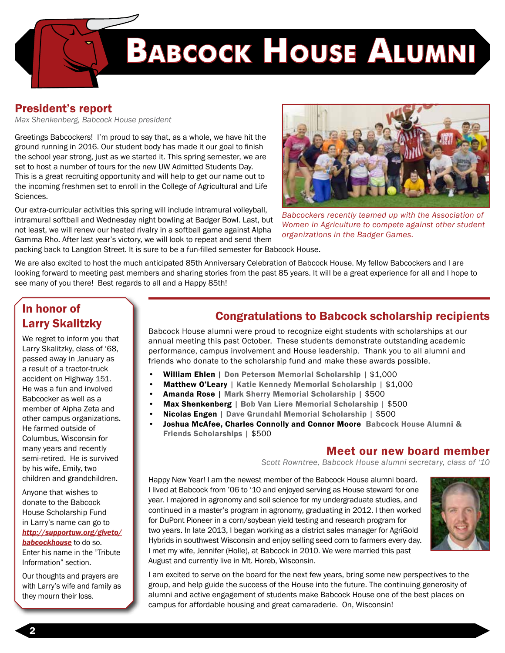

# **Babcock House Alumni**

#### President's report

*Max Shenkenberg, Babcock House president*

Greetings Babcockers! I'm proud to say that, as a whole, we have hit the ground running in 2016. Our student body has made it our goal to finish the school year strong, just as we started it. This spring semester, we are set to host a number of tours for the new UW Admitted Students Day. This is a great recruiting opportunity and will help to get our name out to the incoming freshmen set to enroll in the College of Agricultural and Life Sciences.

Our extra-curricular activities this spring will include intramural volleyball, intramural softball and Wednesday night bowling at Badger Bowl. Last, but not least, we will renew our heated rivalry in a softball game against Alpha Gamma Rho. After last year's victory, we will look to repeat and send them packing back to Langdon Street. It is sure to be a fun-filled semester for Babcock House.

see many of you there! Best regards to all and a Happy 85th!



*Babcockers recently teamed up with the Association of Women in Agriculture to compete against other student organizations in the Badger Games.*

We are also excited to host the much anticipated 85th Anniversary Celebration of Babcock House. My fellow Babcockers and I are looking forward to meeting past members and sharing stories from the past 85 years. It will be a great experience for all and I hope to

#### In honor of Larry Skalitzky

We regret to inform you that Larry Skalitzky, class of '68, passed away in January as a result of a tractor-truck accident on Highway 151. He was a fun and involved Babcocker as well as a member of Alpha Zeta and other campus organizations. He farmed outside of Columbus, Wisconsin for many years and recently semi-retired. He is survived by his wife, Emily, two children and grandchildren.

Anyone that wishes to donate to the Babcock House Scholarship Fund in Larry's name can go to *http://supportuw.org/giveto/ babcockhouse* to do so. Enter his name in the "Tribute Information" section.

Our thoughts and prayers are with Larry's wife and family as they mourn their loss.

#### Congratulations to Babcock scholarship recipients

Babcock House alumni were proud to recognize eight students with scholarships at our annual meeting this past October. These students demonstrate outstanding academic performance, campus involvement and House leadership. Thank you to all alumni and friends who donate to the scholarship fund and make these awards possible.

- William Ehlen | Don Peterson Memorial Scholarship | \$1,000
- Matthew O'Leary | Katie Kennedy Memorial Scholarship | \$1,000
- Amanda Rose | Mark Sherry Memorial Scholarship | \$500
- Max Shenkenberg | Bob Van Liere Memorial Scholarship | \$500
	- Nicolas Engen | Dave Grundahl Memorial Scholarship | \$500
	- Joshua McAfee, Charles Connolly and Connor Moore Babcock House Alumni & Friends Scholarships | \$500

#### Meet our new board member

*Scott Rowntree, Babcock House alumni secretary, class of '10*

Happy New Year! I am the newest member of the Babcock House alumni board. I lived at Babcock from '06 to '10 and enjoyed serving as House steward for one year. I majored in agronomy and soil science for my undergraduate studies, and continued in a master's program in agronomy, graduating in 2012. I then worked for DuPont Pioneer in a corn/soybean yield testing and research program for two years. In late 2013, I began working as a district sales manager for AgriGold Hybrids in southwest Wisconsin and enjoy selling seed corn to farmers every day. I met my wife, Jennifer (Holle), at Babcock in 2010. We were married this past August and currently live in Mt. Horeb, Wisconsin.



I am excited to serve on the board for the next few years, bring some new perspectives to the group, and help guide the success of the House into the future. The continuing generosity of alumni and active engagement of students make Babcock House one of the best places on campus for affordable housing and great camaraderie. On, Wisconsin!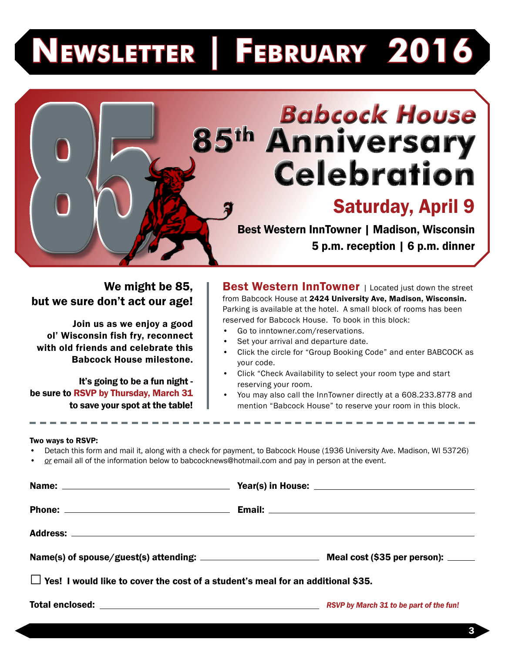# **Newsletter | February 2016**

# **Babcock House<br>85th Anniversary<br>Celebration**

## Saturday, April 9

Best Western InnTowner | Madison, Wisconsin 5 p.m. reception | 6 p.m. dinner

#### We might be 85, but we sure don't act our age!

Join us as we enjoy a good ol' Wisconsin fish fry, reconnect with old friends and celebrate this Babcock House milestone.

It's going to be a fun night be sure to RSVP by Thursday, March 31 to save your spot at the table!

Best Western InnTowner | Located just down the street from Babcock House at 2424 University Ave, Madison, Wisconsin. Parking is available at the hotel. A small block of rooms has been reserved for Babcock House. To book in this block:

- Go to inntowner.com/reservations.
- Set your arrival and departure date.
- Click the circle for "Group Booking Code" and enter BABCOCK as your code.
- Click "Check Availability to select your room type and start reserving your room.
- You may also call the InnTowner directly at a 608.233.8778 and mention "Babcock House" to reserve your room in this block.

#### Two ways to RSVP:

- Detach this form and mail it, along with a check for payment, to Babcock House (1936 University Ave. Madison, WI 53726)
- *• or* email all of the information below to babcocknews@hotmail.com and pay in person at the event.

|                                                                                        | Name(s) of spouse/guest(s) attending: Meal cost (\$35 per person): _____ |
|----------------------------------------------------------------------------------------|--------------------------------------------------------------------------|
| $\Box$ Yes! I would like to cover the cost of a student's meal for an additional \$35. |                                                                          |
|                                                                                        |                                                                          |